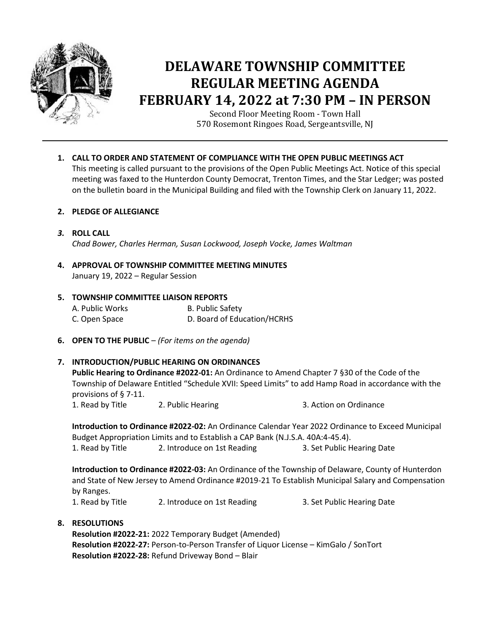

# **DELAWARE TOWNSHIP COMMITTEE REGULAR MEETING AGENDA FEBRUARY 14, 2022 at 7:30 PM – IN PERSON**

Second Floor Meeting Room - Town Hall 570 Rosemont Ringoes Road, Sergeantsville, NJ

**1. CALL TO ORDER AND STATEMENT OF COMPLIANCE WITH THE OPEN PUBLIC MEETINGS ACT** This meeting is called pursuant to the provisions of the Open Public Meetings Act. Notice of this special

meeting was faxed to the Hunterdon County Democrat, Trenton Times, and the Star Ledger; was posted on the bulletin board in the Municipal Building and filed with the Township Clerk on January 11, 2022.

## **2. PLEDGE OF ALLEGIANCE**

- *3.* **ROLL CALL**  *Chad Bower, Charles Herman, Susan Lockwood, Joseph Vocke, James Waltman*
- **4. APPROVAL OF TOWNSHIP COMMITTEE MEETING MINUTES** January 19, 2022 – Regular Session

## **5. TOWNSHIP COMMITTEE LIAISON REPORTS** A. Public Works B. Public Safety C. Open Space D. Board of Education/HCRHS

**6. OPEN TO THE PUBLIC** – *(For items on the agenda)*

# **7. INTRODUCTION/PUBLIC HEARING ON ORDINANCES**

**Public Hearing to Ordinance #2022-01:** An Ordinance to Amend Chapter 7 §30 of the Code of the Township of Delaware Entitled "Schedule XVII: Speed Limits" to add Hamp Road in accordance with the provisions of § 7-11.

1. Read by Title 2. Public Hearing 2. 2.  $\frac{1}{2}$  3. Action on Ordinance

**Introduction to Ordinance #2022-02:** An Ordinance Calendar Year 2022 Ordinance to Exceed Municipal Budget Appropriation Limits and to Establish a CAP Bank (N.J.S.A. 40A:4-45.4).

1. Read by Title 2. Introduce on 1st Reading 3. Set Public Hearing Date

**Introduction to Ordinance #2022-03:** An Ordinance of the Township of Delaware, County of Hunterdon and State of New Jersey to Amend Ordinance #2019-21 To Establish Municipal Salary and Compensation by Ranges.

1. Read by Title 2. Introduce on 1st Reading 3. Set Public Hearing Date

# **8. RESOLUTIONS**

**Resolution #2022-21:** 2022 Temporary Budget (Amended) **Resolution #2022-27:** Person-to-Person Transfer of Liquor License – KimGalo / SonTort **Resolution #2022-28:** Refund Driveway Bond – Blair